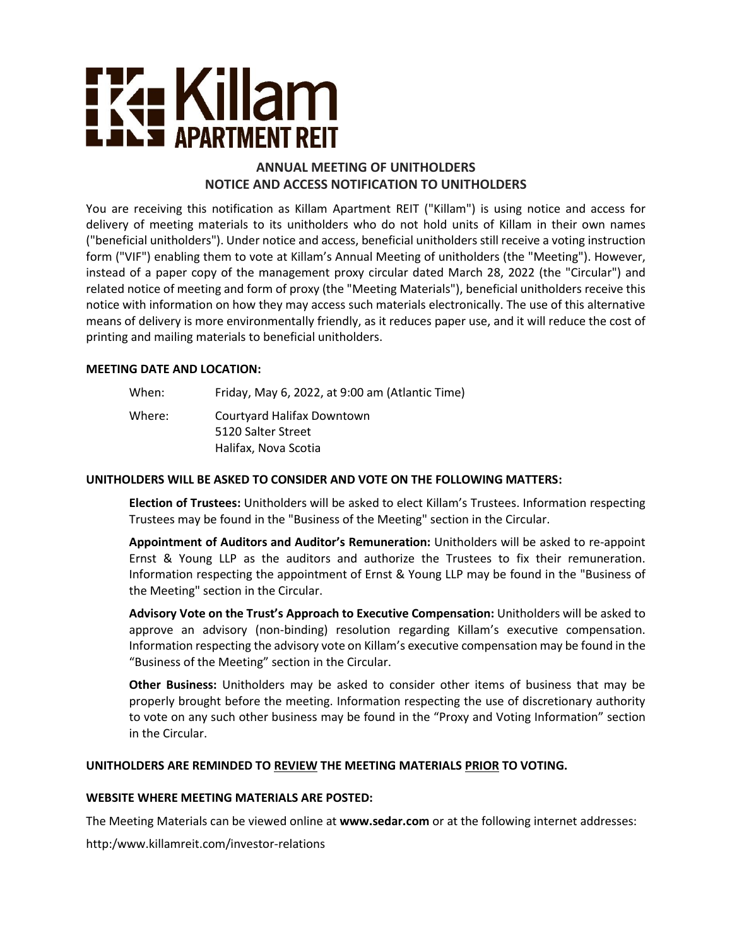# <u>i ka Killam</u> **JLJ APARTMENT REIT**

## **ANNUAL MEETING OF UNITHOLDERS NOTICE AND ACCESS NOTIFICATION TO UNITHOLDERS**

You are receiving this notification as Killam Apartment REIT ("Killam") is using notice and access for delivery of meeting materials to its unitholders who do not hold units of Killam in their own names ("beneficial unitholders"). Under notice and access, beneficial unitholders still receive a voting instruction form ("VIF") enabling them to vote at Killam's Annual Meeting of unitholders (the "Meeting"). However, instead of a paper copy of the management proxy circular dated March 28, 2022 (the "Circular") and related notice of meeting and form of proxy (the "Meeting Materials"), beneficial unitholders receive this notice with information on how they may access such materials electronically. The use of this alternative means of delivery is more environmentally friendly, as it reduces paper use, and it will reduce the cost of printing and mailing materials to beneficial unitholders.

### **MEETING DATE AND LOCATION:**

When: Friday, May 6, 2022, at 9:00 am (Atlantic Time) Where: Courtyard Halifax Downtown 5120 Salter Street Halifax, Nova Scotia

## **UNITHOLDERS WILL BE ASKED TO CONSIDER AND VOTE ON THE FOLLOWING MATTERS:**

**Election of Trustees:** Unitholders will be asked to elect Killam's Trustees. Information respecting Trustees may be found in the "Business of the Meeting" section in the Circular.

**Appointment of Auditors and Auditor's Remuneration:** Unitholders will be asked to re-appoint Ernst & Young LLP as the auditors and authorize the Trustees to fix their remuneration. Information respecting the appointment of Ernst & Young LLP may be found in the "Business of the Meeting" section in the Circular.

**Advisory Vote on the Trust's Approach to Executive Compensation:** Unitholders will be asked to approve an advisory (non-binding) resolution regarding Killam's executive compensation. Information respecting the advisory vote on Killam's executive compensation may be found in the "Business of the Meeting" section in the Circular.

**Other Business:** Unitholders may be asked to consider other items of business that may be properly brought before the meeting. Information respecting the use of discretionary authority to vote on any such other business may be found in the "Proxy and Voting Information" section in the Circular.

## **UNITHOLDERS ARE REMINDED TO REVIEW THE MEETING MATERIALS PRIOR TO VOTING.**

#### **WEBSITE WHERE MEETING MATERIALS ARE POSTED:**

The Meeting Materials can be viewed online at **[www.sedar.com](http://www.sedar.com)** or at the following internet addresses:

http:[/www.killamreit.com/investor-relations](http://www.killamreit.com/investor-relations)